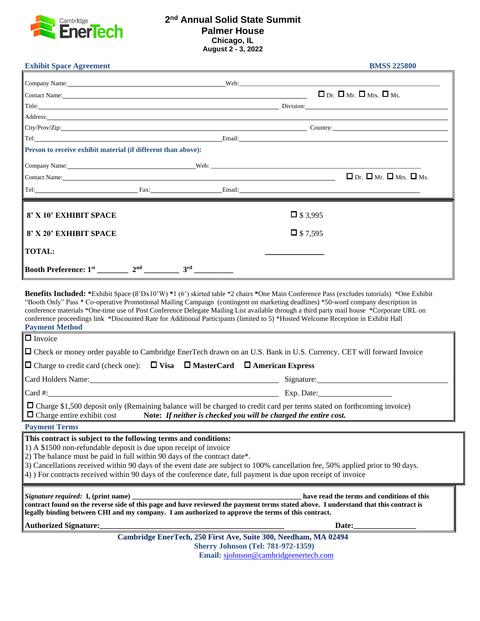

## **2 nd Annual Solid State Summit Palmer House Chicago, IL August 2 - 3, 2022**

| <b>Exhibit Space Agreement</b>                                                                                                                                                                                                 | and the control of the control of the control of the control of the control of the control of the control of the |                    | <b>BMSS 225800</b>                                                                                                                                                                                                             |
|--------------------------------------------------------------------------------------------------------------------------------------------------------------------------------------------------------------------------------|------------------------------------------------------------------------------------------------------------------|--------------------|--------------------------------------------------------------------------------------------------------------------------------------------------------------------------------------------------------------------------------|
|                                                                                                                                                                                                                                |                                                                                                                  |                    |                                                                                                                                                                                                                                |
| $\Box$ Dr. $\Box$ Mr. $\Box$ Mrs. $\Box$ Ms.                                                                                                                                                                                   |                                                                                                                  |                    |                                                                                                                                                                                                                                |
|                                                                                                                                                                                                                                |                                                                                                                  |                    | Title: Division: Division: Division: Division: Division: Division: Division: Division: Division: Division: Division: Division: Division: Division: Division: Division: Division: Division: Division: Division: Division: Divis |
|                                                                                                                                                                                                                                |                                                                                                                  |                    |                                                                                                                                                                                                                                |
|                                                                                                                                                                                                                                |                                                                                                                  |                    | $\boxed{\text{City/Prov/Zip:}}$ Country:                                                                                                                                                                                       |
|                                                                                                                                                                                                                                |                                                                                                                  |                    | Tel: Email: Email: Email: Email: Email: Email: Email: Email: Email: Email: Email: Email: Email: Email: Email: Email: Email: Email: Email: Email: Email: Email: Email: Email: Email: Email: Email: Email: Email: Email: Email:  |
| Person to receive exhibit material (if different than above):                                                                                                                                                                  |                                                                                                                  |                    |                                                                                                                                                                                                                                |
| Company Name: Company Name: Company Name: Company Name: Company Name: Company Name: Company Name: Company Name: Company Name: Company Name: Company Name: Company Name: Company Name: Company Name: Company Name: Company Name |                                                                                                                  |                    |                                                                                                                                                                                                                                |
| Contact Name: Name: Name: Name: Name: Name: Name: Name: Name: Name: Name: Name: Name: Name: Name: Name: Name: Name: Name: Name: Name: Name: Name: Name: Name: Name: Name: Name: Name: Name: Name: Name: Name: Name: Name: Name |                                                                                                                  |                    | $\Box$ Dr. $\Box$ Mr. $\Box$ Mrs. $\Box$ Ms.                                                                                                                                                                                   |
| Tel: Example 2014 Tel: Example 2014 Tel: Email: Email: Email: Email: Email: Email: Email: Email: Email: Email: Email: Email: Email: Email: Email: Email: Email: Email: Email: Email: Email: Email: Email: Email: Email: Email: |                                                                                                                  |                    |                                                                                                                                                                                                                                |
| 8' X 10' EXHIBIT SPACE                                                                                                                                                                                                         |                                                                                                                  | $\Box$ \$3,995     |                                                                                                                                                                                                                                |
| 8' X 20' EXHIBIT SPACE                                                                                                                                                                                                         |                                                                                                                  | $\square$ \$ 7,595 |                                                                                                                                                                                                                                |
|                                                                                                                                                                                                                                |                                                                                                                  |                    |                                                                                                                                                                                                                                |
| <b>TOTAL:</b>                                                                                                                                                                                                                  |                                                                                                                  |                    |                                                                                                                                                                                                                                |
|                                                                                                                                                                                                                                |                                                                                                                  |                    |                                                                                                                                                                                                                                |

"Booth Only" Pass \* Co-operative Promotional Mailing Campaign (contingent on marketing deadlines) \*50-word company description in conference materials \*One-time use of Post Conference Delegate Mailing List available through a third party mail house \*Corporate URL on conference proceedings link \*Discounted Rate for Additional Participants (limited to 5) \*Hosted Welcome Reception in Exhibit Hall **Payment Method** 

| $\sqrt{\Box}$ Invoice                                                                                                                                                                                                                                                                                                                                                                                                                                                          |  |  |  |  |  |  |
|--------------------------------------------------------------------------------------------------------------------------------------------------------------------------------------------------------------------------------------------------------------------------------------------------------------------------------------------------------------------------------------------------------------------------------------------------------------------------------|--|--|--|--|--|--|
| □ Check or money order payable to Cambridge EnerTech drawn on an U.S. Bank in U.S. Currency. CET will forward Invoice                                                                                                                                                                                                                                                                                                                                                          |  |  |  |  |  |  |
| $\Box$ Charge to credit card (check one): $\Box$ Visa $\Box$ MasterCard $\Box$ American Express                                                                                                                                                                                                                                                                                                                                                                                |  |  |  |  |  |  |
| Card Holders Name: 2008 and 2008 and 2008 and 2008 and 2008 and 2008 and 2008 and 2008 and 2008 and 2008 and 2008 and 2008 and 2008 and 2008 and 2008 and 2008 and 2008 and 2008 and 2008 and 2008 and 2008 and 2008 and 2008                                                                                                                                                                                                                                                  |  |  |  |  |  |  |
| $\vert$ Card #: $\vert$ Exp. Date: Exp. Date:                                                                                                                                                                                                                                                                                                                                                                                                                                  |  |  |  |  |  |  |
| $\Box$ Charge \$1,500 deposit only (Remaining balance will be charged to credit card per terms stated on forthcoming invoice)<br>$\Box$ Charge entire exhibit cost Note: If neither is checked you will be charged the entire cost.                                                                                                                                                                                                                                            |  |  |  |  |  |  |
| <b>Payment Terms</b>                                                                                                                                                                                                                                                                                                                                                                                                                                                           |  |  |  |  |  |  |
| This contract is subject to the following terms and conditions:<br>1) A \$1500 non-refundable deposit is due upon receipt of invoice<br>2) The balance must be paid in full within 90 days of the contract date*.<br>3) Cancellations received within 90 days of the event date are subject to 100% cancellation fee, 50% applied prior to 90 days.<br>$ 4\rangle$ ) For contracts received within 90 days of the conference date, full payment is due upon receipt of invoice |  |  |  |  |  |  |
| contract found on the reverse side of this page and have reviewed the payment terms stated above. I understand that this contract is<br>legally binding between CHI and my company. I am authorized to approve the terms of this contract.                                                                                                                                                                                                                                     |  |  |  |  |  |  |
| Authorized Signature:<br><u>Lauthorized Signature:</u>                                                                                                                                                                                                                                                                                                                                                                                                                         |  |  |  |  |  |  |
| Cambridge EnerTech, 250 First Ave, Suite 300, Needham, MA 02494                                                                                                                                                                                                                                                                                                                                                                                                                |  |  |  |  |  |  |
| <b>Sherry Johnson (Tel: 781-972-1359)</b><br>Email: sjohnson@cambridgeenertech.com                                                                                                                                                                                                                                                                                                                                                                                             |  |  |  |  |  |  |